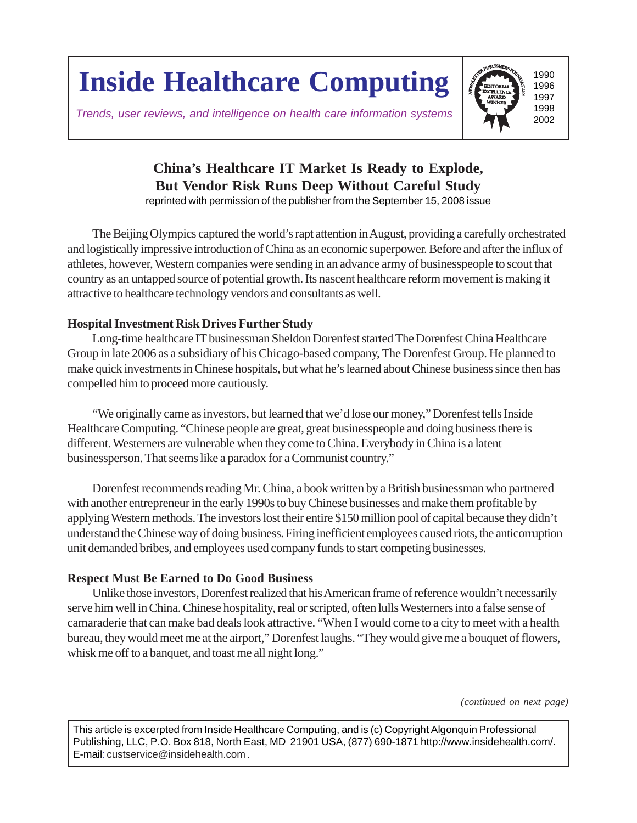**Inside Healthcare Computing**

*Trends, user reviews, and intelligence on health care information systems*



# **China's Healthcare IT Market Is Ready to Explode, But Vendor Risk Runs Deep Without Careful Study**

reprinted with permission of the publisher from the September 15, 2008 issue

The Beijing Olympics captured the world's rapt attention in August, providing a carefully orchestrated and logistically impressive introduction of China as an economic superpower. Before and after the influx of athletes, however, Western companies were sending in an advance army of businesspeople to scout that country as an untapped source of potential growth. Its nascent healthcare reform movement is making it attractive to healthcare technology vendors and consultants as well.

### **Hospital Investment Risk Drives Further Study**

Long-time healthcare IT businessman Sheldon Dorenfest started The Dorenfest China Healthcare Group in late 2006 as a subsidiary of his Chicago-based company, The Dorenfest Group. He planned to make quick investments in Chinese hospitals, but what he's learned about Chinese business since then has compelled him to proceed more cautiously.

"We originally came as investors, but learned that we'd lose our money," Dorenfest tells Inside Healthcare Computing. "Chinese people are great, great businesspeople and doing business there is different. Westerners are vulnerable when they come to China. Everybody in China is a latent businessperson. That seems like a paradox for a Communist country."

Dorenfest recommends reading Mr. China, a book written by a British businessman who partnered with another entrepreneur in the early 1990s to buy Chinese businesses and make them profitable by applying Western methods. The investors lost their entire \$150 million pool of capital because they didn't understand the Chinese way of doing business. Firing inefficient employees caused riots, the anticorruption unit demanded bribes, and employees used company funds to start competing businesses.

## **Respect Must Be Earned to Do Good Business**

Unlike those investors, Dorenfest realized that his American frame of reference wouldn't necessarily serve him well in China. Chinese hospitality, real or scripted, often lulls Westerners into a false sense of camaraderie that can make bad deals look attractive. "When I would come to a city to meet with a health bureau, they would meet me at the airport," Dorenfest laughs. "They would give me a bouquet of flowers, whisk me off to a banquet, and toast me all night long."

*(continued on next page)*

This article is excerpted from Inside Healthcare Computing, and is (c) Copyright Algonquin Professional Publishing, LLC, P.O. Box 818, North East, MD 21901 USA, (877) 690-1871 http://www.insidehealth.com/. E-mail: custservice@insidehealth.com.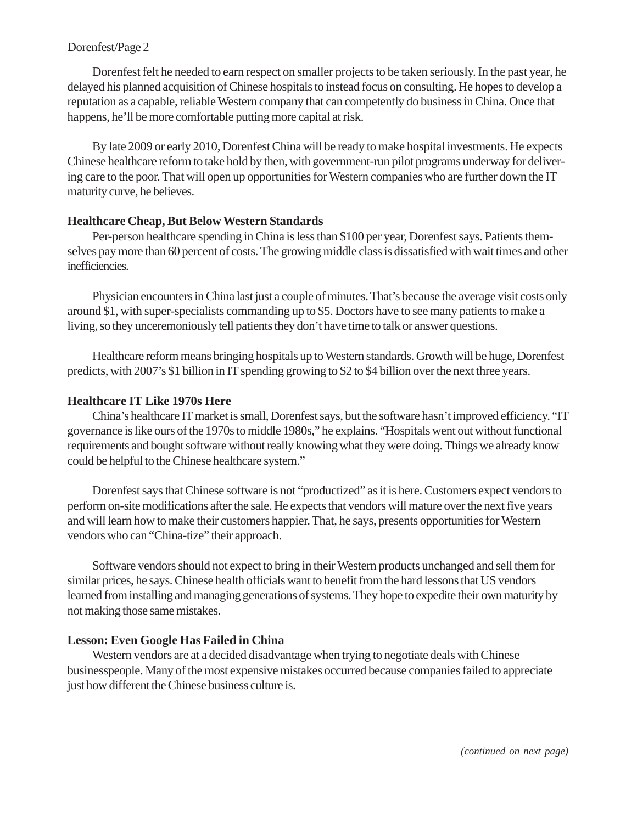#### Dorenfest/Page 2

Dorenfest felt he needed to earn respect on smaller projects to be taken seriously. In the past year, he delayed his planned acquisition of Chinese hospitals to instead focus on consulting. He hopes to develop a reputation as a capable, reliable Western company that can competently do business in China. Once that happens, he'll be more comfortable putting more capital at risk.

By late 2009 or early 2010, Dorenfest China will be ready to make hospital investments. He expects Chinese healthcare reform to take hold by then, with government-run pilot programs underway for delivering care to the poor. That will open up opportunities for Western companies who are further down the IT maturity curve, he believes.

#### **Healthcare Cheap, But Below Western Standards**

Per-person healthcare spending in China is less than \$100 per year, Dorenfest says. Patients themselves pay more than 60 percent of costs. The growing middle class is dissatisfied with wait times and other inefficiencies.

Physician encounters in China last just a couple of minutes. That's because the average visit costs only around \$1, with super-specialists commanding up to \$5. Doctors have to see many patients to make a living, so they unceremoniously tell patients they don't have time to talk or answer questions.

Healthcare reform means bringing hospitals up to Western standards. Growth will be huge, Dorenfest predicts, with 2007's \$1 billion in IT spending growing to \$2 to \$4 billion over the next three years.

#### **Healthcare IT Like 1970s Here**

China's healthcare IT market is small, Dorenfest says, but the software hasn't improved efficiency. "IT governance is like ours of the 1970s to middle 1980s," he explains. "Hospitals went out without functional requirements and bought software without really knowing what they were doing. Things we already know could be helpful to the Chinese healthcare system."

Dorenfest says that Chinese software is not "productized" as it is here. Customers expect vendors to perform on-site modifications after the sale. He expects that vendors will mature over the next five years and will learn how to make their customers happier. That, he says, presents opportunities for Western vendors who can "China-tize" their approach.

Software vendors should not expect to bring in their Western products unchanged and sell them for similar prices, he says. Chinese health officials want to benefit from the hard lessons that US vendors learned from installing and managing generations of systems. They hope to expedite their own maturity by not making those same mistakes.

#### **Lesson: Even Google Has Failed in China**

Western vendors are at a decided disadvantage when trying to negotiate deals with Chinese businesspeople. Many of the most expensive mistakes occurred because companies failed to appreciate just how different the Chinese business culture is.